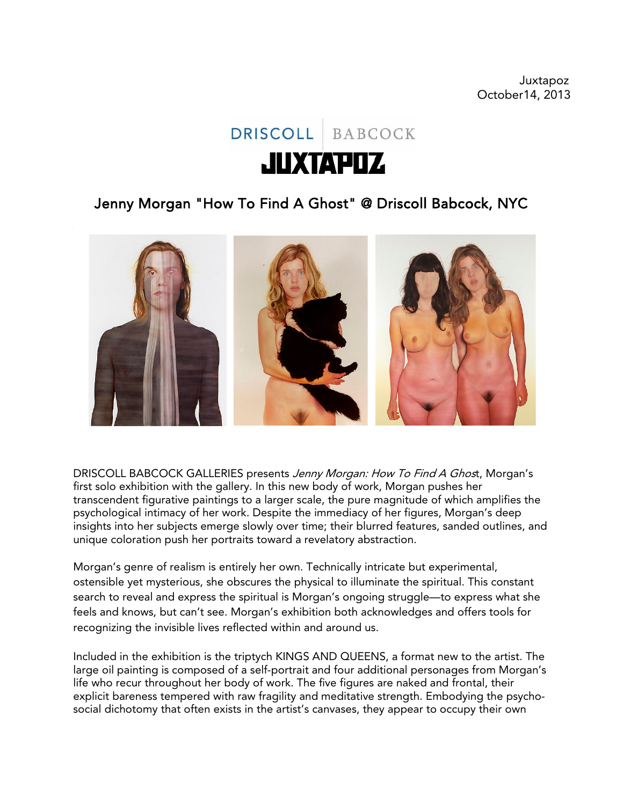

## Jenny Morgan "How To Find A Ghost" @ Driscoll Babcock, NYC



DRISCOLL BABCOCK GALLERIES presents Jenny Morgan: How To Find A Ghost, Morgan's first solo exhibition with the gallery. In this new body of work, Morgan pushes her transcendent figurative paintings to a larger scale, the pure magnitude of which amplifies the psychological intimacy of her work. Despite the immediacy of her figures, Morgan's deep insights into her subjects emerge slowly over time; their blurred features, sanded outlines, and unique coloration push her portraits toward a revelatory abstraction.

Morgan's genre of realism is entirely her own. Technically intricate but experimental, ostensible yet mysterious, she obscures the physical to illuminate the spiritual. This constant search to reveal and express the spiritual is Morgan's ongoing struggle—to express what she feels and knows, but can't see. Morgan's exhibition both acknowledges and offers tools for recognizing the invisible lives reflected within and around us.

Included in the exhibition is the triptych KINGS AND QUEENS, a format new to the artist. The large oil painting is composed of a self-portrait and four additional personages from Morgan's life who recur throughout her body of work. The five figures are naked and frontal, their explicit bareness tempered with raw fragility and meditative strength. Embodying the psychosocial dichotomy that often exists in the artist's canvases, they appear to occupy their own